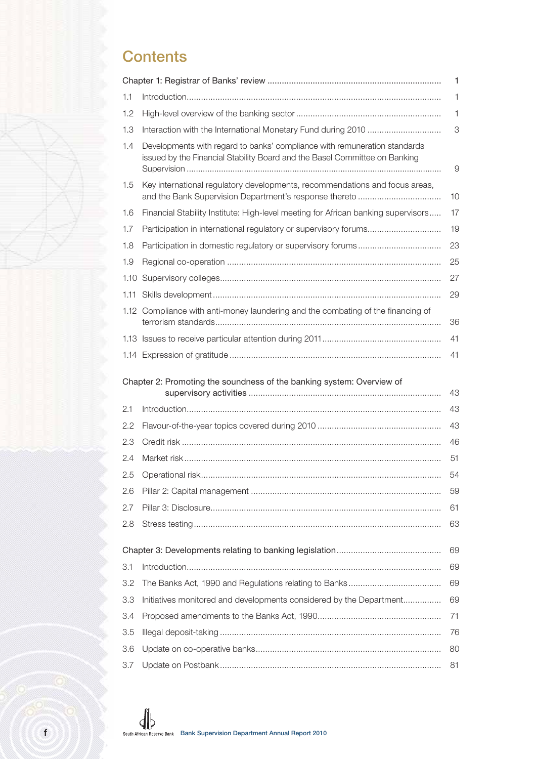## **Contents**

|            |                                                                                                                                                         | 1        |
|------------|---------------------------------------------------------------------------------------------------------------------------------------------------------|----------|
| 1.1        |                                                                                                                                                         | 1        |
| 1.2        |                                                                                                                                                         | 1        |
| 1.3        |                                                                                                                                                         | 3        |
| 1.4        | Developments with regard to banks' compliance with remuneration standards<br>issued by the Financial Stability Board and the Basel Committee on Banking | 9        |
| 1.5        | Key international regulatory developments, recommendations and focus areas,<br>and the Bank Supervision Department's response thereto                   | 10       |
| 1.6        | Financial Stability Institute: High-level meeting for African banking supervisors                                                                       | 17       |
| 1.7        |                                                                                                                                                         | 19       |
| 1.8        |                                                                                                                                                         | 23       |
| 1.9        |                                                                                                                                                         | 25       |
| 1.10       |                                                                                                                                                         | 27       |
| 1.11       |                                                                                                                                                         | 29       |
|            | 1.12 Compliance with anti-money laundering and the combating of the financing of                                                                        | 36       |
|            |                                                                                                                                                         | 41       |
|            |                                                                                                                                                         | 41       |
|            | Chapter 2: Promoting the soundness of the banking system: Overview of                                                                                   | 43       |
| 2.1        |                                                                                                                                                         | 43       |
| 2.2        |                                                                                                                                                         | 43       |
| 2.3        |                                                                                                                                                         | 46       |
| 2.4        |                                                                                                                                                         | 51       |
| 2.5        |                                                                                                                                                         | 54       |
| 2.6        |                                                                                                                                                         | 59       |
| 2.7        |                                                                                                                                                         | 61       |
| 2.8        |                                                                                                                                                         |          |
|            |                                                                                                                                                         | 63       |
|            |                                                                                                                                                         |          |
|            |                                                                                                                                                         | 69       |
| 3.1        |                                                                                                                                                         | 69       |
| 3.2<br>3.3 |                                                                                                                                                         | 69<br>69 |
| 3.4        | Initiatives monitored and developments considered by the Department                                                                                     | 71       |
| 3.5        |                                                                                                                                                         | 76       |
| 3.6        |                                                                                                                                                         | 80       |
| 3.7        |                                                                                                                                                         | 81       |